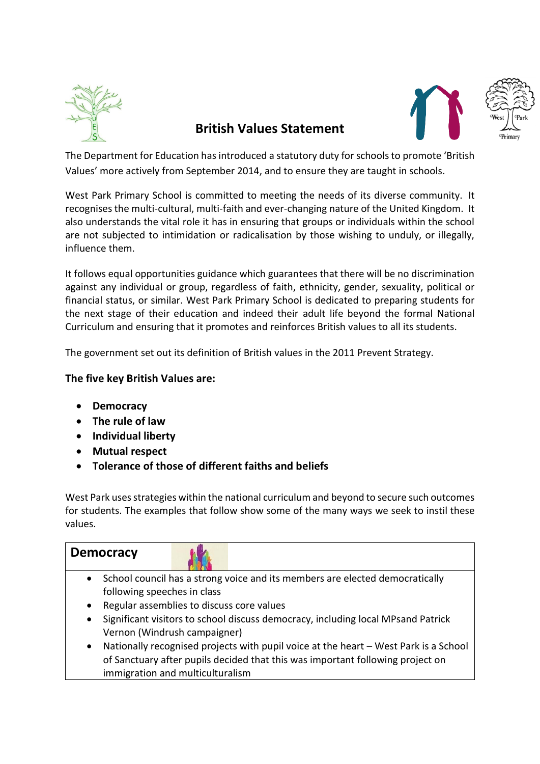

# **British Values Statement**





The Department for Education has introduced a statutory duty for schools to promote 'British Values' more actively from September 2014, and to ensure they are taught in schools.

West Park Primary School is committed to meeting the needs of its diverse community. It recognises the multi-cultural, multi-faith and ever-changing nature of the United Kingdom. It also understands the vital role it has in ensuring that groups or individuals within the school are not subjected to intimidation or radicalisation by those wishing to unduly, or illegally, influence them.

It follows equal opportunities guidance which guarantees that there will be no discrimination against any individual or group, regardless of faith, ethnicity, gender, sexuality, political or financial status, or similar. West Park Primary School is dedicated to preparing students for the next stage of their education and indeed their adult life beyond the formal National Curriculum and ensuring that it promotes and reinforces British values to all its students.

The government set out its definition of British values in the 2011 Prevent Strategy.

#### **The five key British Values are:**

- **Democracy**
- **The rule of law**
- **Individual liberty**
- **Mutual respect**
- **Tolerance of those of different faiths and beliefs**

West Park uses strategies within the national curriculum and beyond to secure such outcomes for students. The examples that follow show some of the many ways we seek to instil these values.

| <b>Democracy</b>                                                                              |                                                                                      |
|-----------------------------------------------------------------------------------------------|--------------------------------------------------------------------------------------|
| $\bullet$                                                                                     | School council has a strong voice and its members are elected democratically         |
| following speeches in class                                                                   |                                                                                      |
| Regular assemblies to discuss core values<br>$\bullet$                                        |                                                                                      |
| Significant visitors to school discuss democracy, including local MPsand Patrick<br>$\bullet$ |                                                                                      |
| Vernon (Windrush campaigner)                                                                  |                                                                                      |
| $\bullet$                                                                                     | Nationally recognised projects with pupil voice at the heart - West Park is a School |
|                                                                                               | of Sanctuary after pupils decided that this was important following project on       |
| immigration and multiculturalism                                                              |                                                                                      |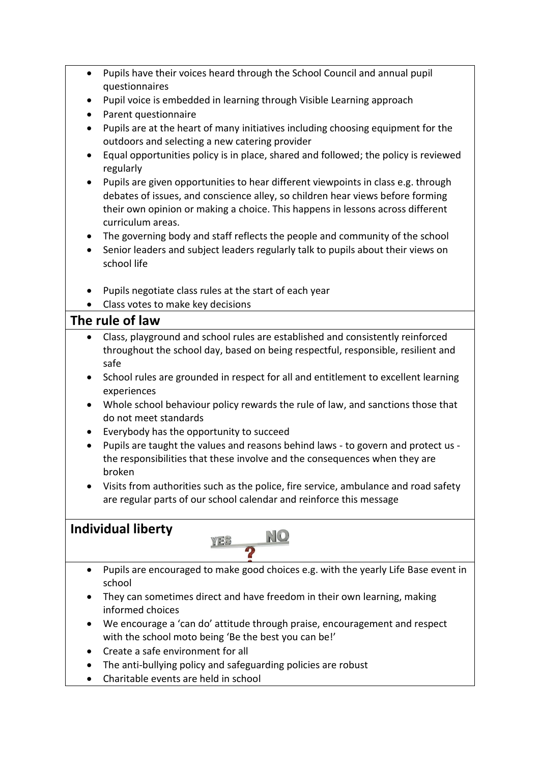- Pupils have their voices heard through the School Council and annual pupil questionnaires
- Pupil voice is embedded in learning through Visible Learning approach
- Parent questionnaire
- Pupils are at the heart of many initiatives including choosing equipment for the outdoors and selecting a new catering provider
- Equal opportunities policy is in place, shared and followed; the policy is reviewed regularly
- Pupils are given opportunities to hear different viewpoints in class e.g. through debates of issues, and conscience alley, so children hear views before forming their own opinion or making a choice. This happens in lessons across different curriculum areas.
- The governing body and staff reflects the people and community of the school
- Senior leaders and subject leaders regularly talk to pupils about their views on school life
- Pupils negotiate class rules at the start of each year
- Class votes to make key decisions

#### **The rule of law**

- Class, playground and school rules are established and consistently reinforced throughout the school day, based on being respectful, responsible, resilient and safe
- School rules are grounded in respect for all and entitlement to excellent learning experiences
- Whole school behaviour policy rewards the rule of law, and sanctions those that do not meet standards
- Everybody has the opportunity to succeed
- Pupils are taught the values and reasons behind laws to govern and protect us the responsibilities that these involve and the consequences when they are broken
- Visits from authorities such as the police, fire service, ambulance and road safety are regular parts of our school calendar and reinforce this message

## **Individual liberty**



- Pupils are encouraged to make good choices e.g. with the yearly Life Base event in school
- They can sometimes direct and have freedom in their own learning, making informed choices
- We encourage a 'can do' attitude through praise, encouragement and respect with the school moto being 'Be the best you can be!'
- Create a safe environment for all
- The anti-bullying policy and safeguarding policies are robust
- Charitable events are held in school